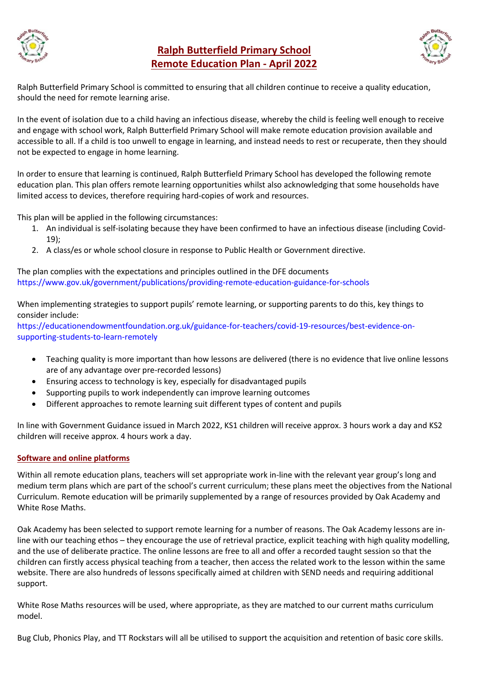

## **Ralph Butterfield Primary School Remote Education Plan - April 2022**



Ralph Butterfield Primary School is committed to ensuring that all children continue to receive a quality education, should the need for remote learning arise.

In the event of isolation due to a child having an infectious disease, whereby the child is feeling well enough to receive and engage with school work, Ralph Butterfield Primary School will make remote education provision available and accessible to all. If a child is too unwell to engage in learning, and instead needs to rest or recuperate, then they should not be expected to engage in home learning.

In order to ensure that learning is continued, Ralph Butterfield Primary School has developed the following remote education plan. This plan offers remote learning opportunities whilst also acknowledging that some households have limited access to devices, therefore requiring hard-copies of work and resources.

This plan will be applied in the following circumstances:

- 1. An individual is self-isolating because they have been confirmed to have an infectious disease (including Covid-19);
- 2. A class/es or whole school closure in response to Public Health or Government directive.

The plan complies with the expectations and principles outlined in the DFE documents <https://www.gov.uk/government/publications/providing-remote-education-guidance-for-schools>

When implementing strategies to support pupils' remote learning, or supporting parents to do this, key things to consider include:

https://educationendowmentfoundation.org.uk/guidance-for-teachers/covid-19-resources/best-evidence-onsupporting-students-to-learn-remotely

- Teaching quality is more important than how lessons are delivered (there is no evidence that live online lessons are of any advantage over pre-recorded lessons)
- Ensuring access to technology is key, especially for disadvantaged pupils
- Supporting pupils to work independently can improve learning outcomes
- Different approaches to remote learning suit different types of content and pupils

In line with Government Guidance issued in March 2022, KS1 children will receive approx. 3 hours work a day and KS2 children will receive approx. 4 hours work a day.

## **Software and online platforms**

Within all remote education plans, teachers will set appropriate work in-line with the relevant year group's long and medium term plans which are part of the school's current curriculum; these plans meet the objectives from the National Curriculum. Remote education will be primarily supplemented by a range of resources provided by Oak Academy and White Rose Maths.

Oak Academy has been selected to support remote learning for a number of reasons. The Oak Academy lessons are inline with our teaching ethos – they encourage the use of retrieval practice, explicit teaching with high quality modelling, and the use of deliberate practice. The online lessons are free to all and offer a recorded taught session so that the children can firstly access physical teaching from a teacher, then access the related work to the lesson within the same website. There are also hundreds of lessons specifically aimed at children with SEND needs and requiring additional support.

White Rose Maths resources will be used, where appropriate, as they are matched to our current maths curriculum model.

Bug Club, Phonics Play, and TT Rockstars will all be utilised to support the acquisition and retention of basic core skills.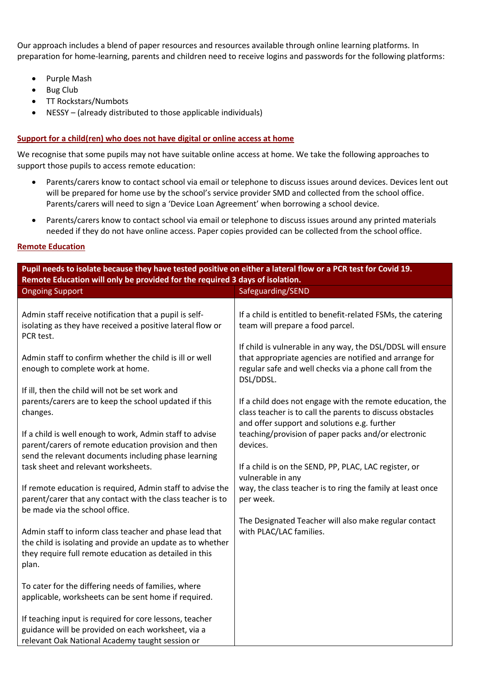Our approach includes a blend of paper resources and resources available through online learning platforms. In preparation for home-learning, parents and children need to receive logins and passwords for the following platforms:

- Purple Mash
- Bug Club
- TT Rockstars/Numbots
- NESSY (already distributed to those applicable individuals)

## **Support for a child(ren) who does not have digital or online access at home**

We recognise that some pupils may not have suitable online access at home. We take the following approaches to support those pupils to access remote education:

- Parents/carers know to contact school via email or telephone to discuss issues around devices. Devices lent out will be prepared for home use by the school's service provider SMD and collected from the school office. Parents/carers will need to sign a 'Device Loan Agreement' when borrowing a school device.
- Parents/carers know to contact school via email or telephone to discuss issues around any printed materials needed if they do not have online access. Paper copies provided can be collected from the school office.

## **Remote Education**

| Pupil needs to isolate because they have tested positive on either a lateral flow or a PCR test for Covid 19.                                                                            |                                                                                                                                                                                              |  |  |  |
|------------------------------------------------------------------------------------------------------------------------------------------------------------------------------------------|----------------------------------------------------------------------------------------------------------------------------------------------------------------------------------------------|--|--|--|
| Remote Education will only be provided for the required 3 days of isolation.                                                                                                             |                                                                                                                                                                                              |  |  |  |
| <b>Ongoing Support</b>                                                                                                                                                                   | Safeguarding/SEND                                                                                                                                                                            |  |  |  |
| Admin staff receive notification that a pupil is self-<br>isolating as they have received a positive lateral flow or<br>PCR test.                                                        | If a child is entitled to benefit-related FSMs, the catering<br>team will prepare a food parcel.                                                                                             |  |  |  |
| Admin staff to confirm whether the child is ill or well<br>enough to complete work at home.                                                                                              | If child is vulnerable in any way, the DSL/DDSL will ensure<br>that appropriate agencies are notified and arrange for<br>regular safe and well checks via a phone call from the<br>DSL/DDSL. |  |  |  |
| If ill, then the child will not be set work and<br>parents/carers are to keep the school updated if this<br>changes.                                                                     | If a child does not engage with the remote education, the<br>class teacher is to call the parents to discuss obstacles<br>and offer support and solutions e.g. further                       |  |  |  |
| If a child is well enough to work, Admin staff to advise<br>parent/carers of remote education provision and then<br>send the relevant documents including phase learning                 | teaching/provision of paper packs and/or electronic<br>devices.                                                                                                                              |  |  |  |
| task sheet and relevant worksheets.                                                                                                                                                      | If a child is on the SEND, PP, PLAC, LAC register, or<br>vulnerable in any                                                                                                                   |  |  |  |
| If remote education is required, Admin staff to advise the<br>parent/carer that any contact with the class teacher is to<br>be made via the school office.                               | way, the class teacher is to ring the family at least once<br>per week.                                                                                                                      |  |  |  |
| Admin staff to inform class teacher and phase lead that<br>the child is isolating and provide an update as to whether<br>they require full remote education as detailed in this<br>plan. | The Designated Teacher will also make regular contact<br>with PLAC/LAC families.                                                                                                             |  |  |  |
| To cater for the differing needs of families, where<br>applicable, worksheets can be sent home if required.                                                                              |                                                                                                                                                                                              |  |  |  |
| If teaching input is required for core lessons, teacher<br>guidance will be provided on each worksheet, via a<br>relevant Oak National Academy taught session or                         |                                                                                                                                                                                              |  |  |  |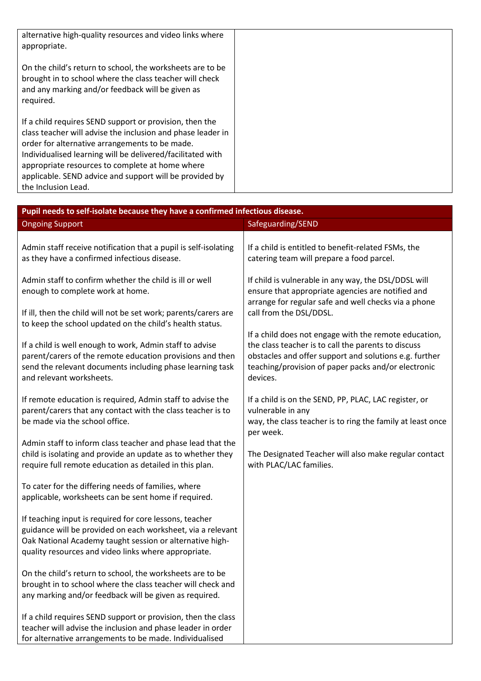| alternative high-quality resources and video links where<br>appropriate.                                                                                                                                                                                                                                                                                                    |  |
|-----------------------------------------------------------------------------------------------------------------------------------------------------------------------------------------------------------------------------------------------------------------------------------------------------------------------------------------------------------------------------|--|
| On the child's return to school, the worksheets are to be<br>brought in to school where the class teacher will check<br>and any marking and/or feedback will be given as<br>required.                                                                                                                                                                                       |  |
| If a child requires SEND support or provision, then the<br>class teacher will advise the inclusion and phase leader in<br>order for alternative arrangements to be made.<br>Individualised learning will be delivered/facilitated with<br>appropriate resources to complete at home where<br>applicable. SEND advice and support will be provided by<br>the Inclusion Lead. |  |

| Pupil needs to self-isolate because they have a confirmed infectious disease.                                             |                                                                                                              |  |  |  |  |
|---------------------------------------------------------------------------------------------------------------------------|--------------------------------------------------------------------------------------------------------------|--|--|--|--|
| <b>Ongoing Support</b>                                                                                                    | Safeguarding/SEND                                                                                            |  |  |  |  |
|                                                                                                                           |                                                                                                              |  |  |  |  |
| Admin staff receive notification that a pupil is self-isolating                                                           | If a child is entitled to benefit-related FSMs, the                                                          |  |  |  |  |
| as they have a confirmed infectious disease.                                                                              | catering team will prepare a food parcel.                                                                    |  |  |  |  |
| Admin staff to confirm whether the child is ill or well                                                                   | If child is vulnerable in any way, the DSL/DDSL will                                                         |  |  |  |  |
| enough to complete work at home.                                                                                          | ensure that appropriate agencies are notified and                                                            |  |  |  |  |
|                                                                                                                           | arrange for regular safe and well checks via a phone                                                         |  |  |  |  |
| If ill, then the child will not be set work; parents/carers are                                                           | call from the DSL/DDSL.                                                                                      |  |  |  |  |
| to keep the school updated on the child's health status.                                                                  |                                                                                                              |  |  |  |  |
| If a child is well enough to work, Admin staff to advise                                                                  | If a child does not engage with the remote education,<br>the class teacher is to call the parents to discuss |  |  |  |  |
| parent/carers of the remote education provisions and then                                                                 | obstacles and offer support and solutions e.g. further                                                       |  |  |  |  |
| send the relevant documents including phase learning task                                                                 | teaching/provision of paper packs and/or electronic                                                          |  |  |  |  |
| and relevant worksheets.                                                                                                  | devices.                                                                                                     |  |  |  |  |
|                                                                                                                           |                                                                                                              |  |  |  |  |
| If remote education is required, Admin staff to advise the<br>parent/carers that any contact with the class teacher is to | If a child is on the SEND, PP, PLAC, LAC register, or<br>vulnerable in any                                   |  |  |  |  |
| be made via the school office.                                                                                            | way, the class teacher is to ring the family at least once                                                   |  |  |  |  |
|                                                                                                                           | per week.                                                                                                    |  |  |  |  |
| Admin staff to inform class teacher and phase lead that the                                                               |                                                                                                              |  |  |  |  |
| child is isolating and provide an update as to whether they                                                               | The Designated Teacher will also make regular contact                                                        |  |  |  |  |
| require full remote education as detailed in this plan.                                                                   | with PLAC/LAC families.                                                                                      |  |  |  |  |
| To cater for the differing needs of families, where                                                                       |                                                                                                              |  |  |  |  |
| applicable, worksheets can be sent home if required.                                                                      |                                                                                                              |  |  |  |  |
|                                                                                                                           |                                                                                                              |  |  |  |  |
| If teaching input is required for core lessons, teacher                                                                   |                                                                                                              |  |  |  |  |
| guidance will be provided on each worksheet, via a relevant                                                               |                                                                                                              |  |  |  |  |
| Oak National Academy taught session or alternative high-<br>quality resources and video links where appropriate.          |                                                                                                              |  |  |  |  |
|                                                                                                                           |                                                                                                              |  |  |  |  |
| On the child's return to school, the worksheets are to be                                                                 |                                                                                                              |  |  |  |  |
| brought in to school where the class teacher will check and                                                               |                                                                                                              |  |  |  |  |
| any marking and/or feedback will be given as required.                                                                    |                                                                                                              |  |  |  |  |
| If a child requires SEND support or provision, then the class                                                             |                                                                                                              |  |  |  |  |
| teacher will advise the inclusion and phase leader in order                                                               |                                                                                                              |  |  |  |  |
| for alternative arrangements to be made. Individualised                                                                   |                                                                                                              |  |  |  |  |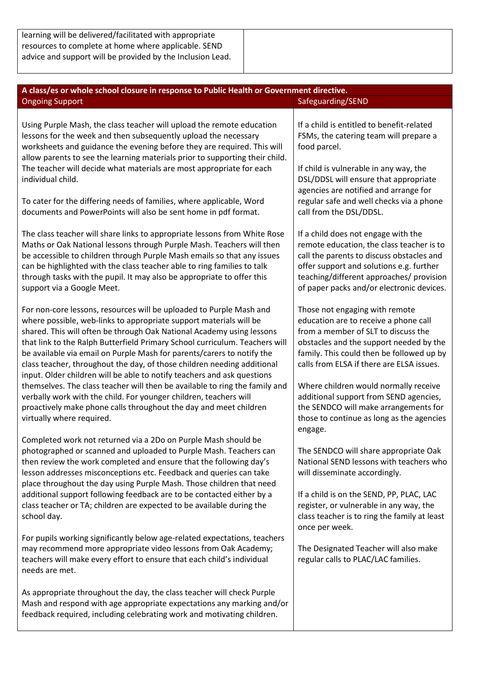| A class/es or whole school closure in response to Public Health or Government directive.                                                                                                                                                                                                                                                                                                                                                                                                                                                                                                                                                                                                                                                                                                |                                                                                                                                                                                                                                                                                                                                                                                                                              |  |  |  |
|-----------------------------------------------------------------------------------------------------------------------------------------------------------------------------------------------------------------------------------------------------------------------------------------------------------------------------------------------------------------------------------------------------------------------------------------------------------------------------------------------------------------------------------------------------------------------------------------------------------------------------------------------------------------------------------------------------------------------------------------------------------------------------------------|------------------------------------------------------------------------------------------------------------------------------------------------------------------------------------------------------------------------------------------------------------------------------------------------------------------------------------------------------------------------------------------------------------------------------|--|--|--|
| <b>Ongoing Support</b>                                                                                                                                                                                                                                                                                                                                                                                                                                                                                                                                                                                                                                                                                                                                                                  | Safeguarding/SEND                                                                                                                                                                                                                                                                                                                                                                                                            |  |  |  |
| Using Purple Mash, the class teacher will upload the remote education<br>lessons for the week and then subsequently upload the necessary<br>worksheets and guidance the evening before they are required. This will<br>allow parents to see the learning materials prior to supporting their child.<br>The teacher will decide what materials are most appropriate for each<br>individual child.                                                                                                                                                                                                                                                                                                                                                                                        | If a child is entitled to benefit-related<br>FSMs, the catering team will prepare a<br>food parcel.<br>If child is vulnerable in any way, the<br>DSL/DDSL will ensure that appropriate<br>agencies are notified and arrange for                                                                                                                                                                                              |  |  |  |
| To cater for the differing needs of families, where applicable, Word<br>documents and PowerPoints will also be sent home in pdf format.                                                                                                                                                                                                                                                                                                                                                                                                                                                                                                                                                                                                                                                 | regular safe and well checks via a phone<br>call from the DSL/DDSL.                                                                                                                                                                                                                                                                                                                                                          |  |  |  |
| The class teacher will share links to appropriate lessons from White Rose<br>Maths or Oak National lessons through Purple Mash. Teachers will then<br>be accessible to children through Purple Mash emails so that any issues<br>can be highlighted with the class teacher able to ring families to talk<br>through tasks with the pupil. It may also be appropriate to offer this<br>support via a Google Meet.                                                                                                                                                                                                                                                                                                                                                                        | If a child does not engage with the<br>remote education, the class teacher is to<br>call the parents to discuss obstacles and<br>offer support and solutions e.g. further<br>teaching/different approaches/ provision<br>of paper packs and/or electronic devices.                                                                                                                                                           |  |  |  |
| For non-core lessons, resources will be uploaded to Purple Mash and<br>where possible, web-links to appropriate support materials will be<br>shared. This will often be through Oak National Academy using lessons<br>that link to the Ralph Butterfield Primary School curriculum. Teachers will<br>be available via email on Purple Mash for parents/carers to notify the<br>class teacher, throughout the day, of those children needing additional<br>input. Older children will be able to notify teachers and ask questions<br>themselves. The class teacher will then be available to ring the family and<br>verbally work with the child. For younger children, teachers will<br>proactively make phone calls throughout the day and meet children<br>virtually where required. | Those not engaging with remote<br>education are to receive a phone call<br>from a member of SLT to discuss the<br>obstacles and the support needed by the<br>family. This could then be followed up by<br>calls from ELSA if there are ELSA issues.<br>Where children would normally receive<br>additional support from SEND agencies,<br>the SENDCO will make arrangements for<br>those to continue as long as the agencies |  |  |  |
| Completed work not returned via a 2Do on Purple Mash should be<br>photographed or scanned and uploaded to Purple Mash. Teachers can<br>then review the work completed and ensure that the following day's<br>lesson addresses misconceptions etc. Feedback and queries can take<br>place throughout the day using Purple Mash. Those children that need<br>additional support following feedback are to be contacted either by a<br>class teacher or TA; children are expected to be available during the<br>school day.                                                                                                                                                                                                                                                                | engage.<br>The SENDCO will share appropriate Oak<br>National SEND lessons with teachers who<br>will disseminate accordingly.<br>If a child is on the SEND, PP, PLAC, LAC<br>register, or vulnerable in any way, the<br>class teacher is to ring the family at least<br>once per week.                                                                                                                                        |  |  |  |
| For pupils working significantly below age-related expectations, teachers<br>may recommend more appropriate video lessons from Oak Academy;<br>teachers will make every effort to ensure that each child's individual<br>needs are met.                                                                                                                                                                                                                                                                                                                                                                                                                                                                                                                                                 | The Designated Teacher will also make<br>regular calls to PLAC/LAC families.                                                                                                                                                                                                                                                                                                                                                 |  |  |  |
| As appropriate throughout the day, the class teacher will check Purple<br>Mash and respond with age appropriate expectations any marking and/or<br>feedback required, including celebrating work and motivating children.                                                                                                                                                                                                                                                                                                                                                                                                                                                                                                                                                               |                                                                                                                                                                                                                                                                                                                                                                                                                              |  |  |  |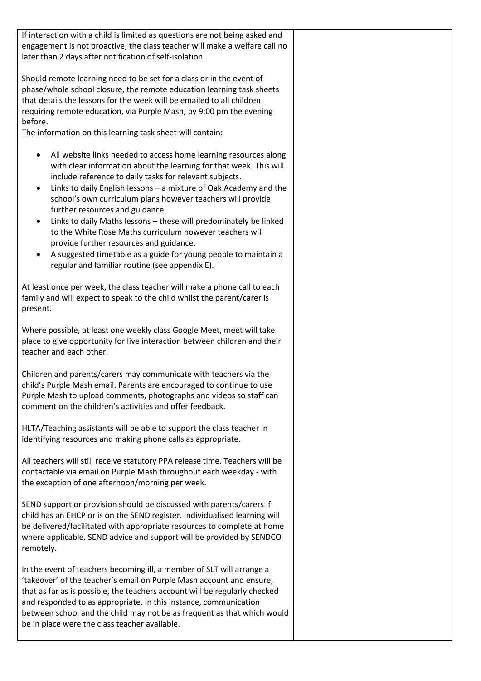| If interaction with a child is limited as questions are not being asked and<br>engagement is not proactive, the class teacher will make a welfare call no<br>later than 2 days after notification of self-isolation.                                                                                                                                                                                                                                                                                                                                                                                                                                                           |  |
|--------------------------------------------------------------------------------------------------------------------------------------------------------------------------------------------------------------------------------------------------------------------------------------------------------------------------------------------------------------------------------------------------------------------------------------------------------------------------------------------------------------------------------------------------------------------------------------------------------------------------------------------------------------------------------|--|
| Should remote learning need to be set for a class or in the event of<br>phase/whole school closure, the remote education learning task sheets<br>that details the lessons for the week will be emailed to all children<br>requiring remote education, via Purple Mash, by 9:00 pm the evening<br>before.<br>The information on this learning task sheet will contain:                                                                                                                                                                                                                                                                                                          |  |
| All website links needed to access home learning resources along<br>with clear information about the learning for that week. This will<br>include reference to daily tasks for relevant subjects.<br>Links to daily English lessons - a mixture of Oak Academy and the<br>٠<br>school's own curriculum plans however teachers will provide<br>further resources and guidance.<br>Links to daily Maths lessons - these will predominately be linked<br>to the White Rose Maths curriculum however teachers will<br>provide further resources and guidance.<br>A suggested timetable as a guide for young people to maintain a<br>regular and familiar routine (see appendix E). |  |
| At least once per week, the class teacher will make a phone call to each<br>family and will expect to speak to the child whilst the parent/carer is<br>present.                                                                                                                                                                                                                                                                                                                                                                                                                                                                                                                |  |
| Where possible, at least one weekly class Google Meet, meet will take<br>place to give opportunity for live interaction between children and their<br>teacher and each other.                                                                                                                                                                                                                                                                                                                                                                                                                                                                                                  |  |
| Children and parents/carers may communicate with teachers via the<br>child's Purple Mash email. Parents are encouraged to continue to use<br>Purple Mash to upload comments, photographs and videos so staff can<br>comment on the children's activities and offer feedback.                                                                                                                                                                                                                                                                                                                                                                                                   |  |
| HLTA/Teaching assistants will be able to support the class teacher in<br>identifying resources and making phone calls as appropriate.                                                                                                                                                                                                                                                                                                                                                                                                                                                                                                                                          |  |
| All teachers will still receive statutory PPA release time. Teachers will be<br>contactable via email on Purple Mash throughout each weekday - with<br>the exception of one afternoon/morning per week.                                                                                                                                                                                                                                                                                                                                                                                                                                                                        |  |
| SEND support or provision should be discussed with parents/carers if<br>child has an EHCP or is on the SEND register. Individualised learning will<br>be delivered/facilitated with appropriate resources to complete at home<br>where applicable. SEND advice and support will be provided by SENDCO<br>remotely.                                                                                                                                                                                                                                                                                                                                                             |  |
| In the event of teachers becoming ill, a member of SLT will arrange a<br>'takeover' of the teacher's email on Purple Mash account and ensure,<br>that as far as is possible, the teachers account will be regularly checked<br>and responded to as appropriate. In this instance, communication<br>between school and the child may not be as frequent as that which would<br>be in place were the class teacher available.                                                                                                                                                                                                                                                    |  |